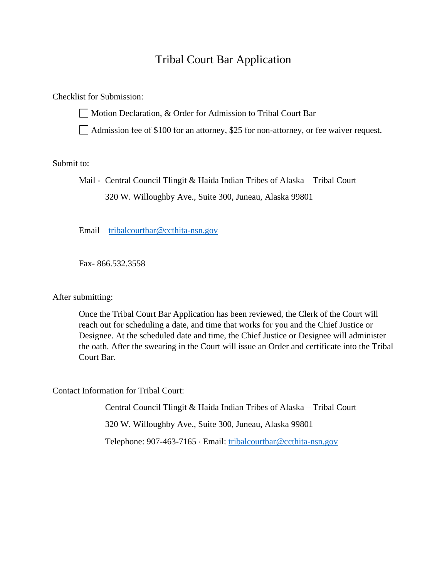# Tribal Court Bar Application

Checklist for Submission:

| Motion Declaration, & Order for Admission to Tribal Court Bar

Admission fee of \$100 for an attorney, \$25 for non-attorney, or fee waiver request.

#### Submit to:

Mail - Central Council Tlingit & Haida Indian Tribes of Alaska – Tribal Court 320 W. Willoughby Ave., Suite 300, Juneau, Alaska 99801

Email – [tribalcourtbar@ccthita-nsn.gov](mailto:tribalcourtbar@ccthita-nsn.gov)

Fax- 866.532.3558

#### After submitting:

Once the Tribal Court Bar Application has been reviewed, the Clerk of the Court will reach out for scheduling a date, and time that works for you and the Chief Justice or Designee. At the scheduled date and time, the Chief Justice or Designee will administer the oath. After the swearing in the Court will issue an Order and certificate into the Tribal Court Bar.

Contact Information for Tribal Court:

Central Council Tlingit & Haida Indian Tribes of Alaska – Tribal Court 320 W. Willoughby Ave., Suite 300, Juneau, Alaska 99801 Telephone: 907-463-7165 · Email: [tribalcourtbar@ccthita-nsn.gov](mailto:tribalcourtbar@ccthita-nsn.gov)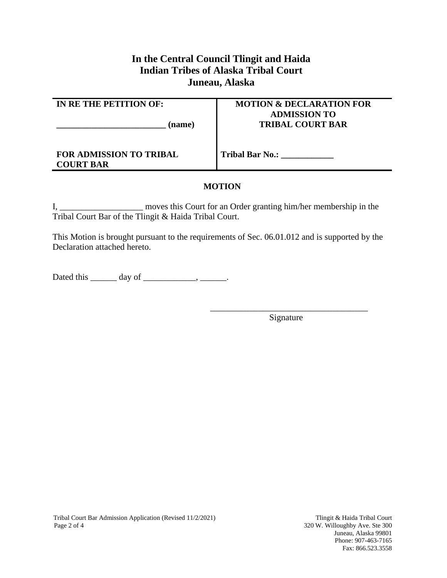# **In the Central Council Tlingit and Haida Indian Tribes of Alaska Tribal Court Juneau, Alaska**

**IN RE THE PETITION OF:**

**\_\_\_\_\_\_\_\_\_\_\_\_\_\_\_\_\_\_\_\_\_\_\_\_\_ (name)**

### **MOTION & DECLARATION FOR ADMISSION TO TRIBAL COURT BAR**

#### **FOR ADMISSION TO TRIBAL COURT BAR**

**Tribal Bar No.: \_\_\_\_\_\_\_\_\_\_\_\_**

## **MOTION**

I, \_\_\_\_\_\_\_\_\_\_\_\_\_\_\_\_\_\_\_ moves this Court for an Order granting him/her membership in the Tribal Court Bar of the Tlingit & Haida Tribal Court.

This Motion is brought pursuant to the requirements of Sec. 06.01.012 and is supported by the Declaration attached hereto.

Dated this  $\_\_\_\_\_\_\$  day of  $\_\_\_\_\_\_\_\_\_\_\_\_\_\.\_$ 

\_\_\_\_\_\_\_\_\_\_\_\_\_\_\_\_\_\_\_\_\_\_\_\_\_\_\_\_\_\_\_\_\_\_\_\_ Signature

Juneau, Alaska 99801 Phone: 907-463-7165 Fax: 866.523.3558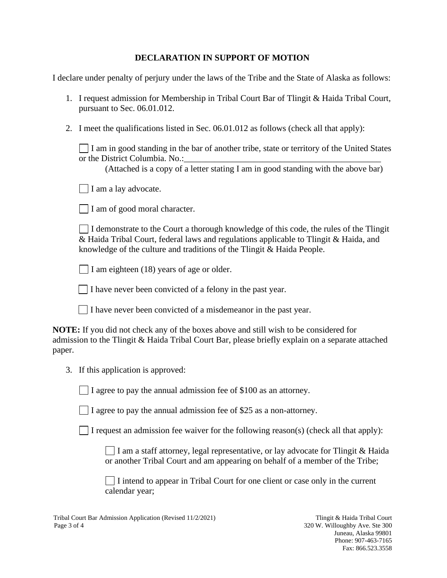### **DECLARATION IN SUPPORT OF MOTION**

I declare under penalty of perjury under the laws of the Tribe and the State of Alaska as follows:

- 1. I request admission for Membership in Tribal Court Bar of Tlingit & Haida Tribal Court, pursuant to Sec. 06.01.012.
- 2. I meet the qualifications listed in Sec. 06.01.012 as follows (check all that apply):

I I am in good standing in the bar of another tribe, state or territory of the United States or the District Columbia. No.:

(Attached is a copy of a letter stating I am in good standing with the above bar)

I am a lay advocate.

I am of good moral character.

I demonstrate to the Court a thorough knowledge of this code, the rules of the Tlingit & Haida Tribal Court, federal laws and regulations applicable to Tlingit & Haida, and knowledge of the culture and traditions of the Tlingit & Haida People.

I am eighteen (18) years of age or older.

 $\Box$  I have never been convicted of a felony in the past year.

I have never been convicted of a misdemeanor in the past year.

**NOTE:** If you did not check any of the boxes above and still wish to be considered for admission to the Tlingit & Haida Tribal Court Bar, please briefly explain on a separate attached paper.

3. If this application is approved:

 $\Box$  I agree to pay the annual admission fee of \$100 as an attorney.

I agree to pay the annual admission fee of \$25 as a non-attorney.

I request an admission fee waiver for the following reason(s) (check all that apply):

I am a staff attorney, legal representative, or lay advocate for Tlingit  $\&$  Haida or another Tribal Court and am appearing on behalf of a member of the Tribe;

I intend to appear in Tribal Court for one client or case only in the current calendar year;